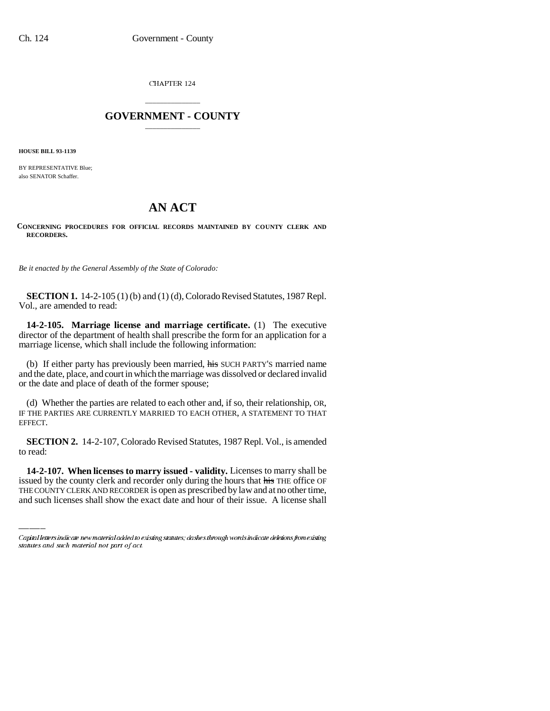CHAPTER 124

## \_\_\_\_\_\_\_\_\_\_\_\_\_\_\_ **GOVERNMENT - COUNTY** \_\_\_\_\_\_\_\_\_\_\_\_\_\_\_

**HOUSE BILL 93-1139**

BY REPRESENTATIVE Blue; also SENATOR Schaffer.

## **AN ACT**

**CONCERNING PROCEDURES FOR OFFICIAL RECORDS MAINTAINED BY COUNTY CLERK AND RECORDERS.**

*Be it enacted by the General Assembly of the State of Colorado:*

**SECTION 1.** 14-2-105 (1) (b) and (1) (d), Colorado Revised Statutes, 1987 Repl. Vol., are amended to read:

**14-2-105. Marriage license and marriage certificate.** (1) The executive director of the department of health shall prescribe the form for an application for a marriage license, which shall include the following information:

(b) If either party has previously been married, his SUCH PARTY's married name and the date, place, and court in which the marriage was dissolved or declared invalid or the date and place of death of the former spouse;

(d) Whether the parties are related to each other and, if so, their relationship, OR, IF THE PARTIES ARE CURRENTLY MARRIED TO EACH OTHER, A STATEMENT TO THAT EFFECT.

**SECTION 2.** 14-2-107, Colorado Revised Statutes, 1987 Repl. Vol., is amended to read:

**14-2-107. When licenses to marry issued - validity.** Licenses to marry shall be issued by the county clerk and recorder only during the hours that his THE office OF THE COUNTY CLERK AND RECORDER is open as prescribed by law and at no other time, and such licenses shall show the exact date and hour of their issue. A license shall

Capital letters indicate new material added to existing statutes; dashes through words indicate deletions from existing statutes and such material not part of act.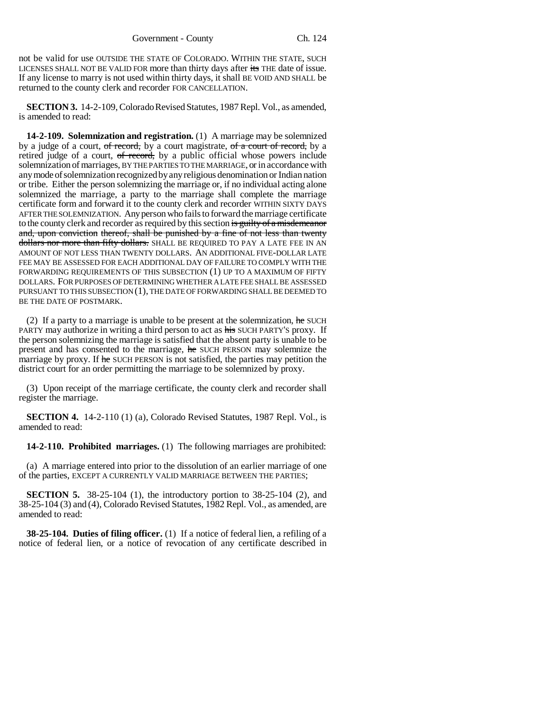not be valid for use OUTSIDE THE STATE OF COLORADO. WITHIN THE STATE, SUCH LICENSES SHALL NOT BE VALID FOR more than thirty days after its THE date of issue. If any license to marry is not used within thirty days, it shall BE VOID AND SHALL be returned to the county clerk and recorder FOR CANCELLATION.

**SECTION 3.** 14-2-109, Colorado Revised Statutes, 1987 Repl. Vol., as amended, is amended to read:

**14-2-109. Solemnization and registration.** (1) A marriage may be solemnized by a judge of a court, of record, by a court magistrate, of a court of record, by a retired judge of a court, of record, by a public official whose powers include solemnization of marriages, BY THE PARTIES TO THE MARRIAGE, or in accordance with any mode of solemnization recognized by any religious denomination or Indian nation or tribe. Either the person solemnizing the marriage or, if no individual acting alone solemnized the marriage, a party to the marriage shall complete the marriage certificate form and forward it to the county clerk and recorder WITHIN SIXTY DAYS AFTER THE SOLEMNIZATION. Any person who fails to forward the marriage certificate to the county clerk and recorder as required by this section is guilty of a misdemeanor and, upon conviction thereof, shall be punished by a fine of not less than twenty dollars nor more than fifty dollars. SHALL BE REQUIRED TO PAY A LATE FEE IN AN AMOUNT OF NOT LESS THAN TWENTY DOLLARS. AN ADDITIONAL FIVE-DOLLAR LATE FEE MAY BE ASSESSED FOR EACH ADDITIONAL DAY OF FAILURE TO COMPLY WITH THE FORWARDING REQUIREMENTS OF THIS SUBSECTION (1) UP TO A MAXIMUM OF FIFTY DOLLARS. FOR PURPOSES OF DETERMINING WHETHER A LATE FEE SHALL BE ASSESSED PURSUANT TO THIS SUBSECTION (1), THE DATE OF FORWARDING SHALL BE DEEMED TO BE THE DATE OF POSTMARK.

(2) If a party to a marriage is unable to be present at the solemnization,  $he$  SUCH PARTY may authorize in writing a third person to act as his SUCH PARTY'S proxy. If the person solemnizing the marriage is satisfied that the absent party is unable to be present and has consented to the marriage, he SUCH PERSON may solemnize the marriage by proxy. If he SUCH PERSON is not satisfied, the parties may petition the district court for an order permitting the marriage to be solemnized by proxy.

(3) Upon receipt of the marriage certificate, the county clerk and recorder shall register the marriage.

**SECTION 4.** 14-2-110 (1) (a), Colorado Revised Statutes, 1987 Repl. Vol., is amended to read:

**14-2-110. Prohibited marriages.** (1) The following marriages are prohibited:

(a) A marriage entered into prior to the dissolution of an earlier marriage of one of the parties, EXCEPT A CURRENTLY VALID MARRIAGE BETWEEN THE PARTIES;

**SECTION 5.** 38-25-104 (1), the introductory portion to 38-25-104 (2), and 38-25-104 (3) and (4), Colorado Revised Statutes, 1982 Repl. Vol., as amended, are amended to read:

**38-25-104. Duties of filing officer.** (1) If a notice of federal lien, a refiling of a notice of federal lien, or a notice of revocation of any certificate described in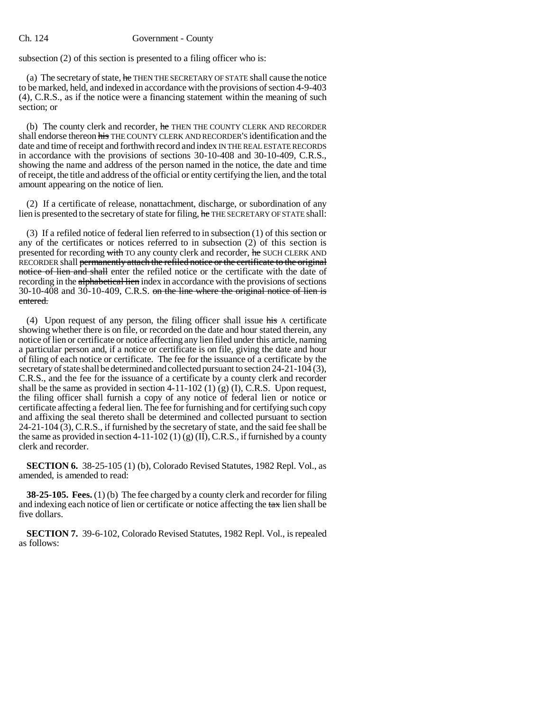## Ch. 124 Government - County

subsection (2) of this section is presented to a filing officer who is:

(a) The secretary of state, he THEN THE SECRETARY OF STATE shall cause the notice to be marked, held, and indexed in accordance with the provisions of section 4-9-403 (4), C.R.S., as if the notice were a financing statement within the meaning of such section; or

(b) The county clerk and recorder,  $\frac{1}{2}$  THEN THE COUNTY CLERK AND RECORDER shall endorse thereon his THE COUNTY CLERK AND RECORDER'S identification and the date and time of receipt and forthwith record and index IN THE REAL ESTATE RECORDS in accordance with the provisions of sections 30-10-408 and 30-10-409, C.R.S., showing the name and address of the person named in the notice, the date and time of receipt, the title and address of the official or entity certifying the lien, and the total amount appearing on the notice of lien.

(2) If a certificate of release, nonattachment, discharge, or subordination of any lien is presented to the secretary of state for filing, he THE SECRETARY OF STATE shall:

(3) If a refiled notice of federal lien referred to in subsection (1) of this section or any of the certificates or notices referred to in subsection (2) of this section is presented for recording with TO any county clerk and recorder, he SUCH CLERK AND RECORDER shall permanently attach the refiled notice or the certificate to the original notice of lien and shall enter the refiled notice or the certificate with the date of recording in the alphabetical lien index in accordance with the provisions of sections 30-10-408 and 30-10-409, C.R.S. on the line where the original notice of lien is entered.

(4) Upon request of any person, the filing officer shall issue his A certificate showing whether there is on file, or recorded on the date and hour stated therein, any notice of lien or certificate or notice affecting any lien filed under this article, naming a particular person and, if a notice or certificate is on file, giving the date and hour of filing of each notice or certificate. The fee for the issuance of a certificate by the secretary of state shall be determined and collected pursuant to section 24-21-104 (3), C.R.S., and the fee for the issuance of a certificate by a county clerk and recorder shall be the same as provided in section  $4-11-102$  (1) (g) (I), C.R.S. Upon request, the filing officer shall furnish a copy of any notice of federal lien or notice or certificate affecting a federal lien. The fee for furnishing and for certifying such copy and affixing the seal thereto shall be determined and collected pursuant to section  $24-21-104(3)$ , C.R.S., if furnished by the secretary of state, and the said fee shall be the same as provided in section 4-11-102 (1) (g) (II), C.R.S., if furnished by a county clerk and recorder.

**SECTION 6.** 38-25-105 (1) (b), Colorado Revised Statutes, 1982 Repl. Vol., as amended, is amended to read:

**38-25-105. Fees.** (1) (b) The fee charged by a county clerk and recorder for filing and indexing each notice of lien or certificate or notice affecting the  $\frac{1}{4}$  lien shall be five dollars.

**SECTION 7.** 39-6-102, Colorado Revised Statutes, 1982 Repl. Vol., is repealed as follows: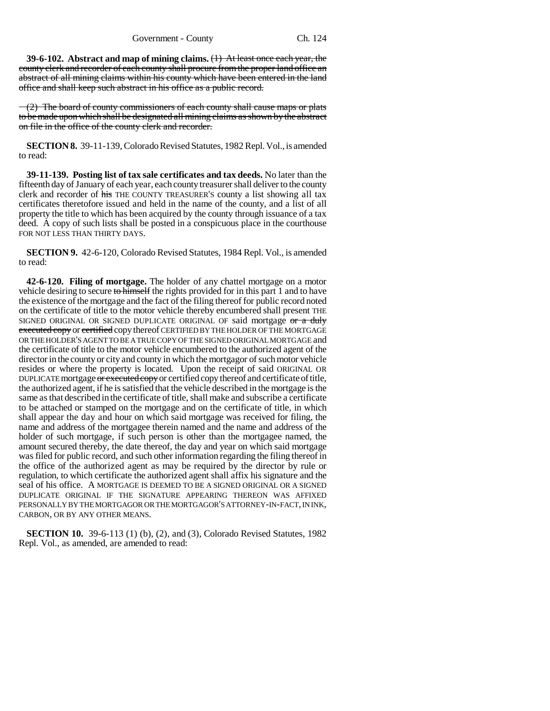Government - County Ch. 124

**39-6-102. Abstract and map of mining claims.** (1) At least once each year, the county clerk and recorder of each county shall procure from the proper land office an abstract of all mining claims within his county which have been entered in the land office and shall keep such abstract in his office as a public record.

 $-(2)$  The board of county commissioners of each county shall cause maps or plats to be made upon which shall be designated all mining claims as shown by the abstract on file in the office of the county clerk and recorder.

**SECTION 8.** 39-11-139, Colorado Revised Statutes, 1982 Repl. Vol., is amended to read:

**39-11-139. Posting list of tax sale certificates and tax deeds.** No later than the fifteenth day of January of each year, each county treasurer shall deliver to the county clerk and recorder of his THE COUNTY TREASURER'S county a list showing all tax certificates theretofore issued and held in the name of the county, and a list of all property the title to which has been acquired by the county through issuance of a tax deed. A copy of such lists shall be posted in a conspicuous place in the courthouse FOR NOT LESS THAN THIRTY DAYS.

**SECTION 9.** 42-6-120, Colorado Revised Statutes, 1984 Repl. Vol., is amended to read:

**42-6-120. Filing of mortgage.** The holder of any chattel mortgage on a motor vehicle desiring to secure to himself the rights provided for in this part 1 and to have the existence of the mortgage and the fact of the filing thereof for public record noted on the certificate of title to the motor vehicle thereby encumbered shall present THE SIGNED ORIGINAL OR SIGNED DUPLICATE ORIGINAL OF said mortgage or a duly executed copy or certified copy thereof CERTIFIED BY THE HOLDER OF THE MORTGAGE OR THE HOLDER'S AGENT TO BE A TRUE COPY OF THE SIGNED ORIGINAL MORTGAGE and the certificate of title to the motor vehicle encumbered to the authorized agent of the director in the county or city and county in which the mortgagor of such motor vehicle resides or where the property is located. Upon the receipt of said ORIGINAL OR DUPLICATE mortgage or executed copy or certified copy thereof and certificate of title, the authorized agent, if he is satisfied that the vehicle described in the mortgage is the same as that described in the certificate of title, shall make and subscribe a certificate to be attached or stamped on the mortgage and on the certificate of title, in which shall appear the day and hour on which said mortgage was received for filing, the name and address of the mortgagee therein named and the name and address of the holder of such mortgage, if such person is other than the mortgagee named, the amount secured thereby, the date thereof, the day and year on which said mortgage was filed for public record, and such other information regarding the filing thereof in the office of the authorized agent as may be required by the director by rule or regulation, to which certificate the authorized agent shall affix his signature and the seal of his office. A MORTGAGE IS DEEMED TO BE A SIGNED ORIGINAL OR A SIGNED DUPLICATE ORIGINAL IF THE SIGNATURE APPEARING THEREON WAS AFFIXED PERSONALLY BY THE MORTGAGOR OR THE MORTGAGOR'S ATTORNEY-IN-FACT, IN INK, CARBON, OR BY ANY OTHER MEANS.

**SECTION 10.** 39-6-113 (1) (b), (2), and (3), Colorado Revised Statutes, 1982 Repl. Vol., as amended, are amended to read: